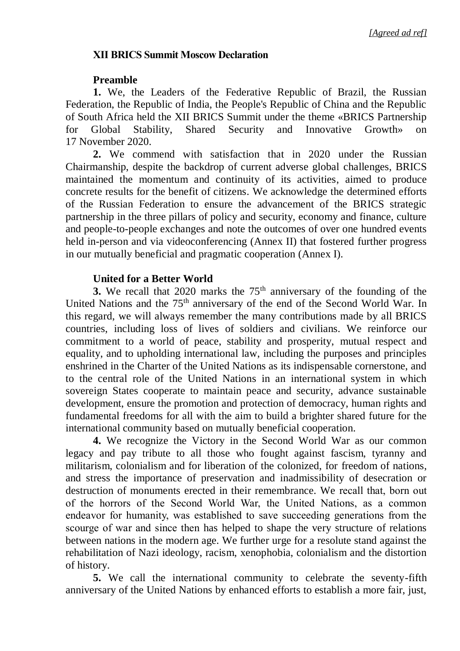## **XII BRICS Summit Moscow Declaration**

## **Preamble**

**1.** We, the Leaders of the Federative Republic of Brazil, the Russian Federation, the Republic of India, the People's Republic of China and the Republic of South Africa held the XII BRICS Summit under the theme «BRICS Partnership for Global Stability, Shared Security and Innovative Growth» on 17 November 2020.

**2.** We commend with satisfaction that in 2020 under the Russian Chairmanship, despite the backdrop of current adverse global challenges, BRICS maintained the momentum and continuity of its activities, aimed to produce concrete results for the benefit of citizens. We acknowledge the determined efforts of the Russian Federation to ensure the advancement of the BRICS strategic partnership in the three pillars of policy and security, economy and finance, culture and people-to-people exchanges and note the outcomes of over one hundred events held in-person and via videoconferencing (Annex II) that fostered further progress in our mutually beneficial and pragmatic cooperation (Annex I).

## **United for a Better World**

**3.** We recall that 2020 marks the 75<sup>th</sup> anniversary of the founding of the United Nations and the 75<sup>th</sup> anniversary of the end of the Second World War. In this regard, we will always remember the many contributions made by all BRICS countries, including loss of lives of soldiers and civilians. We reinforce our commitment to a world of peace, stability and prosperity, mutual respect and equality, and to upholding international law, including the purposes and principles enshrined in the Charter of the United Nations as its indispensable cornerstone, and to the central role of the United Nations in an international system in which sovereign States cooperate to maintain peace and security, advance sustainable development, ensure the promotion and protection of democracy, human rights and fundamental freedoms for all with the aim to build a brighter shared future for the international community based on mutually beneficial cooperation.

**4.** We recognize the Victory in the Second World War as our common legacy and pay tribute to all those who fought against fascism, tyranny and militarism, colonialism and for liberation of the colonized, for freedom of nations, and stress the importance of preservation and inadmissibility of desecration or destruction of monuments erected in their remembrance. We recall that, born out of the horrors of the Second World War, the United Nations, as a common endeavor for humanity, was established to save succeeding generations from the scourge of war and since then has helped to shape the very structure of relations between nations in the modern age. We further urge for a resolute stand against the rehabilitation of Nazi ideology, racism, xenophobia, colonialism and the distortion of history.

**5.** We call the international community to celebrate the seventy-fifth anniversary of the United Nations by enhanced efforts to establish a more fair, just,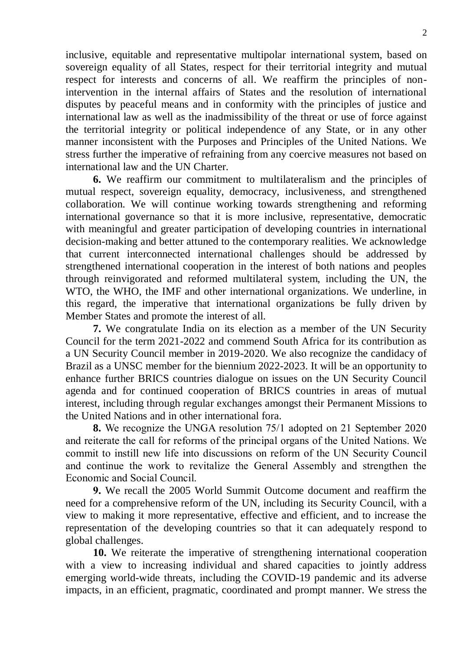inclusive, equitable and representative multipolar international system, based on sovereign equality of all States, respect for their territorial integrity and mutual respect for interests and concerns of all. We reaffirm the principles of nonintervention in the internal affairs of States and the resolution of international disputes by peaceful means and in conformity with the principles of justice and international law as well as the inadmissibility of the threat or use of force against the territorial integrity or political independence of any State, or in any other manner inconsistent with the Purposes and Principles of the United Nations. We stress further the imperative of refraining from any coercive measures not based on international law and the UN Charter.

**6.** We reaffirm our commitment to multilateralism and the principles of mutual respect, sovereign equality, democracy, inclusiveness, and strengthened collaboration. We will continue working towards strengthening and reforming international governance so that it is more inclusive, representative, democratic with meaningful and greater participation of developing countries in international decision-making and better attuned to the contemporary realities. We acknowledge that current interconnected international challenges should be addressed by strengthened international cooperation in the interest of both nations and peoples through reinvigorated and reformed multilateral system, including the UN, the WTO, the WHO, the IMF and other international organizations. We underline, in this regard, the imperative that international organizations be fully driven by Member States and promote the interest of all.

**7.** We congratulate India on its election as a member of the UN Security Council for the term 2021-2022 and commend South Africa for its contribution as a UN Security Council member in 2019-2020. We also recognize the candidacy of Brazil as a UNSC member for the biennium 2022-2023. It will be an opportunity to enhance further BRICS countries dialogue on issues on the UN Security Council agenda and for continued cooperation of BRICS countries in areas of mutual interest, including through regular exchanges amongst their Permanent Missions to the United Nations and in other international fora.

**8.** We recognize the UNGA resolution 75/1 adopted on 21 September 2020 and reiterate the call for reforms of the principal organs of the United Nations. We commit to instill new life into discussions on reform of the UN Security Council and continue the work to revitalize the General Assembly and strengthen the Economic and Social Council.

**9.** We recall the 2005 World Summit Outcome document and reaffirm the need for a comprehensive reform of the UN, including its Security Council, with a view to making it more representative, effective and efficient, and to increase the representation of the developing countries so that it can adequately respond to global challenges.

**10.** We reiterate the imperative of strengthening international cooperation with a view to increasing individual and shared capacities to jointly address emerging world-wide threats, including the COVID-19 pandemic and its adverse impacts, in an efficient, pragmatic, coordinated and prompt manner. We stress the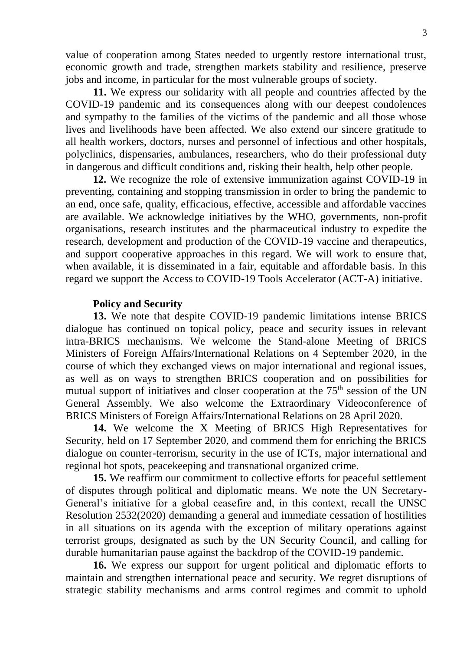value of cooperation among States needed to urgently restore international trust, economic growth and trade, strengthen markets stability and resilience, preserve jobs and income, in particular for the most vulnerable groups of society.

**11.** We express our solidarity with all people and countries affected by the COVID-19 pandemic and its consequences along with our deepest condolences and sympathy to the families of the victims of the pandemic and all those whose lives and livelihoods have been affected. We also extend our sincere gratitude to all health workers, doctors, nurses and personnel of infectious and other hospitals, polyclinics, dispensaries, ambulances, researchers, who do their professional duty in dangerous and difficult conditions and, risking their health, help other people.

**12.** We recognize the role of extensive immunization against COVID-19 in preventing, containing and stopping transmission in order to bring the pandemic to an end, once safe, quality, efficacious, effective, accessible and affordable vaccines are available. We acknowledge initiatives by the WHO, governments, non-profit organisations, research institutes and the pharmaceutical industry to expedite the research, development and production of the COVID-19 vaccine and therapeutics, and support cooperative approaches in this regard. We will work to ensure that, when available, it is disseminated in a fair, equitable and affordable basis. In this regard we support the Access to COVID-19 Tools Accelerator (ACT-A) initiative.

#### **Policy and Security**

**13.** We note that despite COVID-19 pandemic limitations intense BRICS dialogue has continued on topical policy, peace and security issues in relevant intra-BRICS mechanisms. We welcome the Stand-alone Meeting of BRICS Ministers of Foreign Affairs/International Relations on 4 September 2020, in the course of which they exchanged views on major international and regional issues, as well as on ways to strengthen BRICS cooperation and on possibilities for mutual support of initiatives and closer cooperation at the  $75<sup>th</sup>$  session of the UN General Assembly. We also welcome the Extraordinary Videoconference of BRICS Ministers of Foreign Affairs/International Relations on 28 April 2020.

**14.** We welcome the X Meeting of BRICS High Representatives for Security, held on 17 September 2020, and commend them for enriching the BRICS dialogue on counter-terrorism, security in the use of ICTs, major international and regional hot spots, peacekeeping and transnational organized crime.

**15.** We reaffirm our commitment to collective efforts for peaceful settlement of disputes through political and diplomatic means. We note the UN Secretary-General's initiative for a global ceasefire and, in this context, recall the UNSC Resolution 2532(2020) demanding a general and immediate cessation of hostilities in all situations on its agenda with the exception of military operations against terrorist groups, designated as such by the UN Security Council, and calling for durable humanitarian pause against the backdrop of the COVID-19 pandemic.

**16.** We express our support for urgent political and diplomatic efforts to maintain and strengthen international peace and security. We regret disruptions of strategic stability mechanisms and arms control regimes and commit to uphold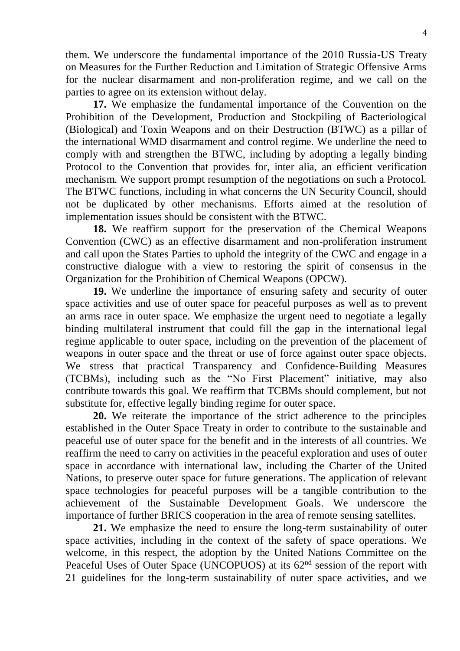them. We underscore the fundamental importance of the 2010 Russia-US Treaty on Measures for the Further Reduction and Limitation of Strategic Offensive Arms for the nuclear disarmament and non-proliferation regime, and we call on the parties to agree on its extension without delay.

**17.** We emphasize the fundamental importance of the Convention on the Prohibition of the Development, Production and Stockpiling of Bacteriological (Biological) and Toxin Weapons and on their Destruction (BTWC) as a pillar of the international WMD disarmament and control regime. We underline the need to comply with and strengthen the BTWC, including by adopting a legally binding Protocol to the Convention that provides for, inter alia, an efficient verification mechanism. We support prompt resumption of the negotiations on such a Protocol. The BTWC functions, including in what concerns the UN Security Council, should not be duplicated by other mechanisms. Efforts aimed at the resolution of implementation issues should be consistent with the BTWC.

**18.** We reaffirm support for the preservation of the Chemical Weapons Convention (CWC) as an effective disarmament and non-proliferation instrument and call upon the States Parties to uphold the integrity of the CWC and engage in a constructive dialogue with a view to restoring the spirit of consensus in the Organization for the Prohibition of Chemical Weapons (OPCW).

**19.** We underline the importance of ensuring safety and security of outer space activities and use of outer space for peaceful purposes as well as to prevent an arms race in outer space. We emphasize the urgent need to negotiate a legally binding multilateral instrument that could fill the gap in the international legal regime applicable to outer space, including on the prevention of the placement of weapons in outer space and the threat or use of force against outer space objects. We stress that practical Transparency and Confidence-Building Measures (TCBMs), including such as the "No First Placement" initiative, may also contribute towards this goal. We reaffirm that TCBMs should complement, but not substitute for, effective legally binding regime for outer space.

**20.** We reiterate the importance of the strict adherence to the principles established in the Outer Space Treaty in order to contribute to the sustainable and peaceful use of outer space for the benefit and in the interests of all countries. We reaffirm the need to carry on activities in the peaceful exploration and uses of outer space in accordance with international law, including the Charter of the United Nations, to preserve outer space for future generations. The application of relevant space technologies for peaceful purposes will be a tangible contribution to the achievement of the Sustainable Development Goals. We underscore the importance of further BRICS cooperation in the area of remote sensing satellites.

**21.** We emphasize the need to ensure the long-term sustainability of outer space activities, including in the context of the safety of space operations. We welcome, in this respect, the adoption by the United Nations Committee on the Peaceful Uses of Outer Space (UNCOPUOS) at its 62<sup>nd</sup> session of the report with 21 guidelines for the long-term sustainability of outer space activities, and we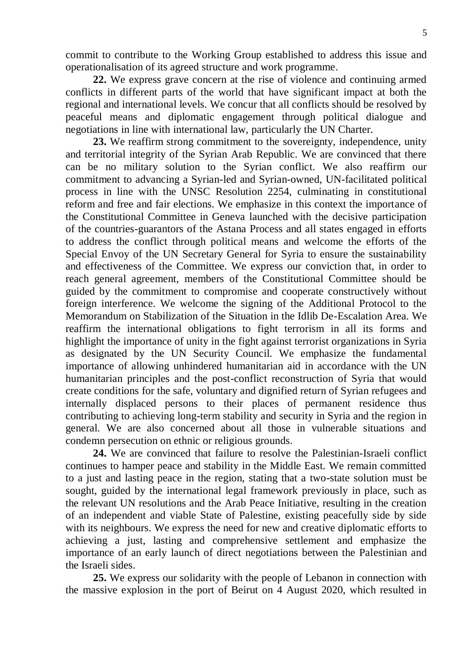**22.** We express grave concern at the rise of violence and continuing armed conflicts in different parts of the world that have significant impact at both the regional and international levels. We concur that all conflicts should be resolved by peaceful means and diplomatic engagement through political dialogue and negotiations in line with international law, particularly the UN Charter.

**23.** We reaffirm strong commitment to the sovereignty, independence, unity and territorial integrity of the Syrian Arab Republic. We are convinced that there can be no military solution to the Syrian conflict. We also reaffirm our commitment to advancing a Syrian-led and Syrian-owned, UN-facilitated political process in line with the UNSC Resolution 2254, culminating in constitutional reform and free and fair elections. We emphasize in this context the importance of the Constitutional Committee in Geneva launched with the decisive participation of the countries-guarantors of the Astana Process and all states engaged in efforts to address the conflict through political means and welcome the efforts of the Special Envoy of the UN Secretary General for Syria to ensure the sustainability and effectiveness of the Committee. We express our conviction that, in order to reach general agreement, members of the Constitutional Committee should be guided by the commitment to compromise and cooperate constructively without foreign interference. We welcome the signing of the Additional Protocol to the Memorandum on Stabilization of the Situation in the Idlib De-Escalation Area. We reaffirm the international obligations to fight terrorism in all its forms and highlight the importance of unity in the fight against terrorist organizations in Syria as designated by the UN Security Council. We emphasize the fundamental importance of allowing unhindered humanitarian aid in accordance with the UN humanitarian principles and the post-conflict reconstruction of Syria that would create conditions for the safe, voluntary and dignified return of Syrian refugees and internally displaced persons to their places of permanent residence thus contributing to achieving long-term stability and security in Syria and the region in general. We are also concerned about all those in vulnerable situations and condemn persecution on ethnic or religious grounds.

**24.** We are convinced that failure to resolve the Palestinian-Israeli conflict continues to hamper peace and stability in the Middle East. We remain committed to a just and lasting peace in the region, stating that a two-state solution must be sought, guided by the international legal framework previously in place, such as the relevant UN resolutions and the Arab Peace Initiative, resulting in the creation of an independent and viable State of Palestine, existing peacefully side by side with its neighbours. We express the need for new and creative diplomatic efforts to achieving a just, lasting and comprehensive settlement and emphasize the importance of an early launch of direct negotiations between the Palestinian and the Israeli sides.

**25.** We express our solidarity with the people of Lebanon in connection with the massive explosion in the port of Beirut on 4 August 2020, which resulted in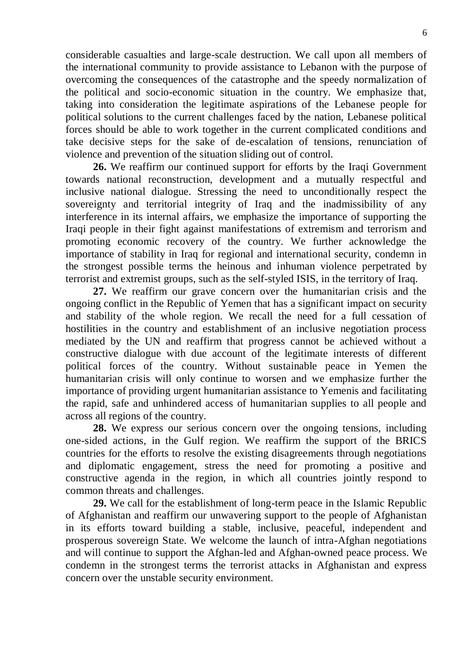considerable casualties and large-scale destruction. We call upon all members of the international community to provide assistance to Lebanon with the purpose of overcoming the consequences of the catastrophe and the speedy normalization of the political and socio-economic situation in the country. We emphasize that, taking into consideration the legitimate aspirations of the Lebanese people for political solutions to the current challenges faced by the nation, Lebanese political forces should be able to work together in the current complicated conditions and take decisive steps for the sake of de-escalation of tensions, renunciation of violence and prevention of the situation sliding out of control.

**26.** We reaffirm our continued support for efforts by the Iraqi Government towards national reconstruction, development and a mutually respectful and inclusive national dialogue. Stressing the need to unconditionally respect the sovereignty and territorial integrity of Iraq and the inadmissibility of any interference in its internal affairs, we emphasize the importance of supporting the Iraqi people in their fight against manifestations of extremism and terrorism and promoting economic recovery of the country. We further acknowledge the importance of stability in Iraq for regional and international security, condemn in the strongest possible terms the heinous and inhuman violence perpetrated by terrorist and extremist groups, such as the self-styled ISIS, in the territory of Iraq.

**27.** We reaffirm our grave concern over the humanitarian crisis and the ongoing conflict in the Republic of Yemen that has a significant impact on security and stability of the whole region. We recall the need for a full cessation of hostilities in the country and establishment of an inclusive negotiation process mediated by the UN and reaffirm that progress cannot be achieved without a constructive dialogue with due account of the legitimate interests of different political forces of the country. Without sustainable peace in Yemen the humanitarian crisis will only continue to worsen and we emphasize further the importance of providing urgent humanitarian assistance to Yemenis and facilitating the rapid, safe and unhindered access of humanitarian supplies to all people and across all regions of the country.

**28.** We express our serious concern over the ongoing tensions, including one-sided actions, in the Gulf region. We reaffirm the support of the BRICS countries for the efforts to resolve the existing disagreements through negotiations and diplomatic engagement, stress the need for promoting a positive and constructive agenda in the region, in which all countries jointly respond to common threats and challenges.

**29.** We call for the establishment of long-term peace in the Islamic Republic of Afghanistan and reaffirm our unwavering support to the people of Afghanistan in its efforts toward building a stable, inclusive, peaceful, independent and prosperous sovereign State. We welcome the launch of intra-Afghan negotiations and will continue to support the Afghan-led and Afghan-owned peace process. We condemn in the strongest terms the terrorist attacks in Afghanistan and express concern over the unstable security environment.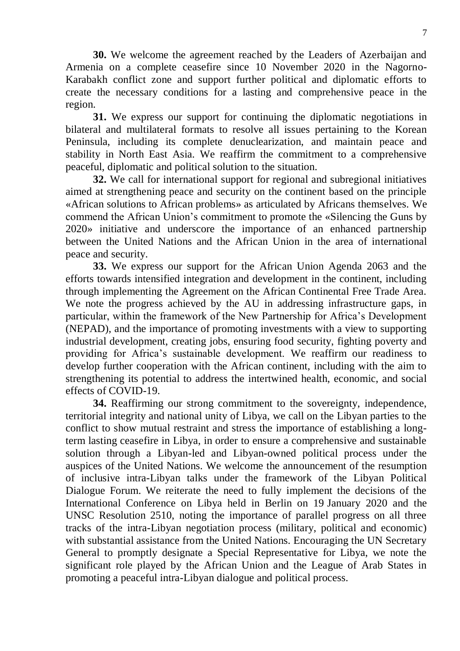**30.** We welcome the agreement reached by the Leaders of Azerbaijan and Armenia on a complete ceasefire since 10 November 2020 in the Nagorno-Karabakh conflict zone and support further political and diplomatic efforts to create the necessary conditions for a lasting and comprehensive peace in the region.

**31.** We express our support for continuing the diplomatic negotiations in bilateral and multilateral formats to resolve all issues pertaining to the Korean Peninsula, including its complete denuclearization, and maintain peace and stability in North East Asia. We reaffirm the commitment to a comprehensive peaceful, diplomatic and political solution to the situation.

**32.** We call for international support for regional and subregional initiatives aimed at strengthening peace and security on the continent based on the principle «African solutions to African problems» as articulated by Africans themselves. We commend the African Union's commitment to promote the «Silencing the Guns by 2020» initiative and underscore the importance of an enhanced partnership between the United Nations and the African Union in the area of international peace and security.

**33.** We express our support for the African Union Agenda 2063 and the efforts towards intensified integration and development in the continent, including through implementing the Agreement on the African Continental Free Trade Area. We note the progress achieved by the AU in addressing infrastructure gaps, in particular, within the framework of the New Partnership for Africa's Development (NEPAD), and the importance of promoting investments with a view to supporting industrial development, creating jobs, ensuring food security, fighting poverty and providing for Africa's sustainable development. We reaffirm our readiness to develop further cooperation with the African continent, including with the aim to strengthening its potential to address the intertwined health, economic, and social effects of COVID-19.

**34.** Reaffirming our strong commitment to the sovereignty, independence, territorial integrity and national unity of Libya, we call on the Libyan parties to the conflict to show mutual restraint and stress the importance of establishing a longterm lasting ceasefire in Libya, in order to ensure a comprehensive and sustainable solution through a Libyan-led and Libyan-owned political process under the auspices of the United Nations. We welcome the announcement of the resumption of inclusive intra-Libyan talks under the framework of the Libyan Political Dialogue Forum. We reiterate the need to fully implement the decisions of the International Conference on Libya held in Berlin on 19 January 2020 and the UNSC Resolution 2510, noting the importance of parallel progress on all three tracks of the intra-Libyan negotiation process (military, political and economic) with substantial assistance from the United Nations. Encouraging the UN Secretary General to promptly designate a Special Representative for Libya, we note the significant role played by the African Union and the League of Arab States in promoting a peaceful intra-Libyan dialogue and political process.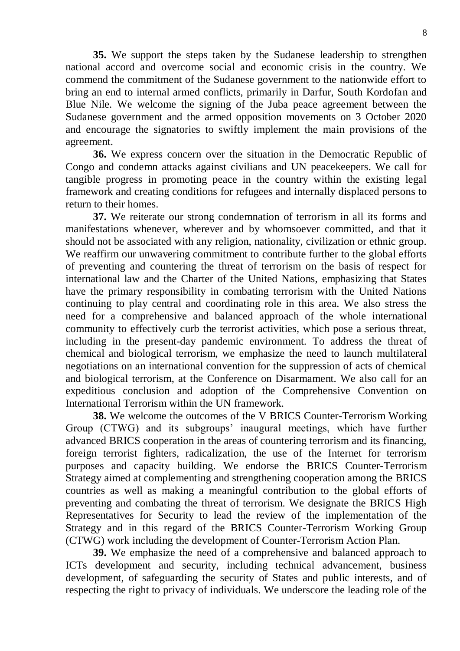**35.** We support the steps taken by the Sudanese leadership to strengthen national accord and overcome social and economic crisis in the country. We commend the commitment of the Sudanese government to the nationwide effort to bring an end to internal armed conflicts, primarily in Darfur, South Kordofan and Blue Nile. We welcome the signing of the Juba peace agreement between the Sudanese government and the armed opposition movements on 3 October 2020 and encourage the signatories to swiftly implement the main provisions of the agreement.

**36.** We express concern over the situation in the Democratic Republic of Congo and condemn attacks against civilians and UN peacekeepers. We call for tangible progress in promoting peace in the country within the existing legal framework and creating conditions for refugees and internally displaced persons to return to their homes.

**37.** We reiterate our strong condemnation of terrorism in all its forms and manifestations whenever, wherever and by whomsoever committed, and that it should not be associated with any religion, nationality, civilization or ethnic group. We reaffirm our unwavering commitment to contribute further to the global efforts of preventing and countering the threat of terrorism on the basis of respect for international law and the Charter of the United Nations, emphasizing that States have the primary responsibility in combating terrorism with the United Nations continuing to play central and coordinating role in this area. We also stress the need for a comprehensive and balanced approach of the whole international community to effectively curb the terrorist activities, which pose a serious threat, including in the present-day pandemic environment. To address the threat of chemical and biological terrorism, we emphasize the need to launch multilateral negotiations on an international convention for the suppression of acts of chemical and biological terrorism, at the Conference on Disarmament. We also call for an expeditious conclusion and adoption of the Comprehensive Convention on International Terrorism within the UN framework.

**38.** We welcome the outcomes of the V BRICS Counter-Terrorism Working Group (CTWG) and its subgroups' inaugural meetings, which have further advanced BRICS cooperation in the areas of countering terrorism and its financing, foreign terrorist fighters, radicalization, the use of the Internet for terrorism purposes and capacity building. We endorse the BRICS Counter-Terrorism Strategy aimed at complementing and strengthening cooperation among the BRICS countries as well as making a meaningful contribution to the global efforts of preventing and combating the threat of terrorism. We designate the BRICS High Representatives for Security to lead the review of the implementation of the Strategy and in this regard of the BRICS Counter-Terrorism Working Group (CTWG) work including the development of Counter-Terrorism Action Plan.

**39.** We emphasize the need of a comprehensive and balanced approach to ICTs development and security, including technical advancement, business development, of safeguarding the security of States and public interests, and of respecting the right to privacy of individuals. We underscore the leading role of the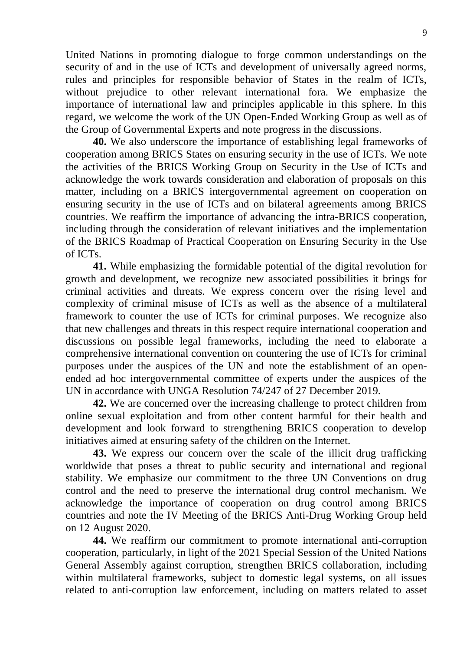United Nations in promoting dialogue to forge common understandings on the security of and in the use of ICTs and development of universally agreed norms, rules and principles for responsible behavior of States in the realm of ICTs, without prejudice to other relevant international fora. We emphasize the importance of international law and principles applicable in this sphere. In this regard, we welcome the work of the UN Open-Ended Working Group as well as of the Group of Governmental Experts and note progress in the discussions.

**40.** We also underscore the importance of establishing legal frameworks of cooperation among BRICS States on ensuring security in the use of ICTs. We note the activities of the BRICS Working Group on Security in the Use of ICTs and acknowledge the work towards consideration and elaboration of proposals on this matter, including on a BRICS intergovernmental agreement on cooperation on ensuring security in the use of ICTs and on bilateral agreements among BRICS countries. We reaffirm the importance of advancing the intra-BRICS cooperation, including through the consideration of relevant initiatives and the implementation of the BRICS Roadmap of Practical Cooperation on Ensuring Security in the Use of ICTs.

**41.** While emphasizing the formidable potential of the digital revolution for growth and development, we recognize new associated possibilities it brings for criminal activities and threats. We express concern over the rising level and complexity of criminal misuse of ICTs as well as the absence of a multilateral framework to counter the use of ICTs for criminal purposes. We recognize also that new challenges and threats in this respect require international cooperation and discussions on possible legal frameworks, including the need to elaborate a comprehensive international convention on countering the use of ICTs for criminal purposes under the auspices of the UN and note the establishment of an openended ad hoc intergovernmental committee of experts under the auspices of the UN in accordance with UNGA Resolution 74/247 of 27 December 2019.

**42.** We are concerned over the increasing challenge to protect children from online sexual exploitation and from other content harmful for their health and development and look forward to strengthening BRICS cooperation to develop initiatives aimed at ensuring safety of the children on the Internet.

**43.** We express our concern over the scale of the illicit drug trafficking worldwide that poses a threat to public security and international and regional stability. We emphasize our commitment to the three UN Conventions on drug control and the need to preserve the international drug control mechanism. We acknowledge the importance of cooperation on drug control among BRICS countries and note the IV Meeting of the BRICS Anti-Drug Working Group held on 12 August 2020.

**44.** We reaffirm our commitment to promote international anti-corruption cooperation, particularly, in light of the 2021 Special Session of the United Nations General Assembly against corruption, strengthen BRICS collaboration, including within multilateral frameworks, subject to domestic legal systems, on all issues related to anti-corruption law enforcement, including on matters related to asset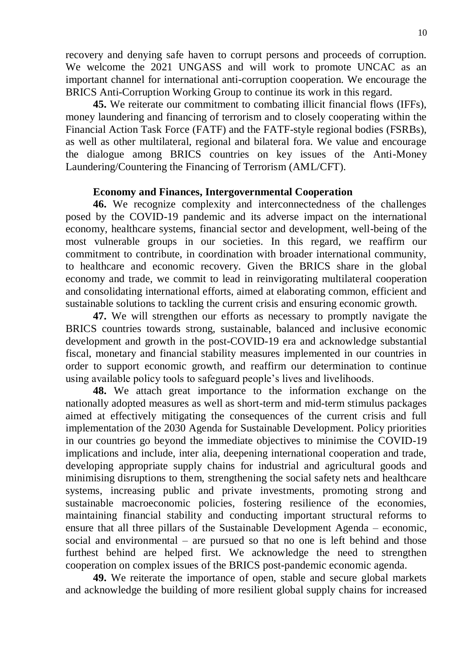recovery and denying safe haven to corrupt persons and proceeds of corruption. We welcome the 2021 UNGASS and will work to promote UNCAC as an important channel for international anti-corruption cooperation. We encourage the BRICS Anti-Corruption Working Group to continue its work in this regard.

**45.** We reiterate our commitment to combating illicit financial flows (IFFs), money laundering and financing of terrorism and to closely cooperating within the Financial Action Task Force (FATF) and the FATF-style regional bodies (FSRBs), as well as other multilateral, regional and bilateral fora. We value and encourage the dialogue among BRICS countries on key issues of the Anti-Money Laundering/Countering the Financing of Terrorism (AML/CFT).

## **Economy and Finances, Intergovernmental Cooperation**

**46.** We recognize complexity and interconnectedness of the challenges posed by the COVID-19 pandemic and its adverse impact on the international economy, healthcare systems, financial sector and development, well-being of the most vulnerable groups in our societies. In this regard, we reaffirm our commitment to contribute, in coordination with broader international community, to healthcare and economic recovery. Given the BRICS share in the global economy and trade, we commit to lead in reinvigorating multilateral cooperation and consolidating international efforts, aimed at elaborating common, efficient and sustainable solutions to tackling the current crisis and ensuring economic growth.

**47.** We will strengthen our efforts as necessary to promptly navigate the BRICS countries towards strong, sustainable, balanced and inclusive economic development and growth in the post-COVID-19 era and acknowledge substantial fiscal, monetary and financial stability measures implemented in our countries in order to support economic growth, and reaffirm our determination to continue using available policy tools to safeguard people's lives and livelihoods.

**48.** We attach great importance to the information exchange on the nationally adopted measures as well as short-term and mid-term stimulus packages aimed at effectively mitigating the consequences of the current crisis and full implementation of the 2030 Agenda for Sustainable Development. Policy priorities in our countries go beyond the immediate objectives to minimise the COVID-19 implications and include, inter alia, deepening international cooperation and trade, developing appropriate supply chains for industrial and agricultural goods and minimising disruptions to them, strengthening the social safety nets and healthcare systems, increasing public and private investments, promoting strong and sustainable macroeconomic policies, fostering resilience of the economies, maintaining financial stability and conducting important structural reforms to ensure that all three pillars of the Sustainable Development Agenda – economic, social and environmental – are pursued so that no one is left behind and those furthest behind are helped first. We acknowledge the need to strengthen cooperation on complex issues of the BRICS post-pandemic economic agenda.

**49.** We reiterate the importance of open, stable and secure global markets and acknowledge the building of more resilient global supply chains for increased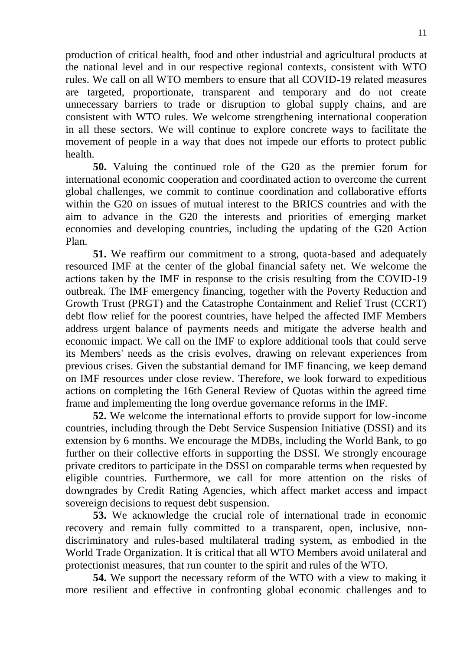production of critical health, food and other industrial and agricultural products at the national level and in our respective regional contexts, consistent with WTO rules. We call on all WTO members to ensure that all COVID-19 related measures are targeted, proportionate, transparent and temporary and do not create unnecessary barriers to trade or disruption to global supply chains, and are consistent with WTO rules. We welcome strengthening international cooperation in all these sectors. We will continue to explore concrete ways to facilitate the movement of people in a way that does not impede our efforts to protect public health.

**50.** Valuing the continued role of the G20 as the premier forum for international economic cooperation and coordinated action to overcome the current global challenges, we commit to continue coordination and collaborative efforts within the G20 on issues of mutual interest to the BRICS countries and with the aim to advance in the G20 the interests and priorities of emerging market economies and developing countries, including the updating of the G20 Action Plan.

**51.** We reaffirm our commitment to a strong, quota-based and adequately resourced IMF at the center of the global financial safety net. We welcome the actions taken by the IMF in response to the crisis resulting from the COVID-19 outbreak. The IMF emergency financing, together with the Poverty Reduction and Growth Trust (PRGT) and the Catastrophe Containment and Relief Trust (CCRT) debt flow relief for the poorest countries, have helped the affected IMF Members address urgent balance of payments needs and mitigate the adverse health and economic impact. We call on the IMF to explore additional tools that could serve its Members' needs as the crisis evolves, drawing on relevant experiences from previous crises. Given the substantial demand for IMF financing, we keep demand on IMF resources under close review. Therefore, we look forward to expeditious actions on completing the 16th General Review of Quotas within the agreed time frame and implementing the long overdue governance reforms in the IMF.

**52.** We welcome the international efforts to provide support for low-income countries, including through the Debt Service Suspension Initiative (DSSI) and its extension by 6 months. We encourage the MDBs, including the World Bank, to go further on their collective efforts in supporting the DSSI. We strongly encourage private creditors to participate in the DSSI on comparable terms when requested by eligible countries. Furthermore, we call for more attention on the risks of downgrades by Credit Rating Agencies, which affect market access and impact sovereign decisions to request debt suspension.

**53.** We acknowledge the crucial role of international trade in economic recovery and remain fully committed to a transparent, open, inclusive, nondiscriminatory and rules-based multilateral trading system, as embodied in the World Trade Organization. It is critical that all WTO Members avoid unilateral and protectionist measures, that run counter to the spirit and rules of the WTO.

**54.** We support the necessary reform of the WTO with a view to making it more resilient and effective in confronting global economic challenges and to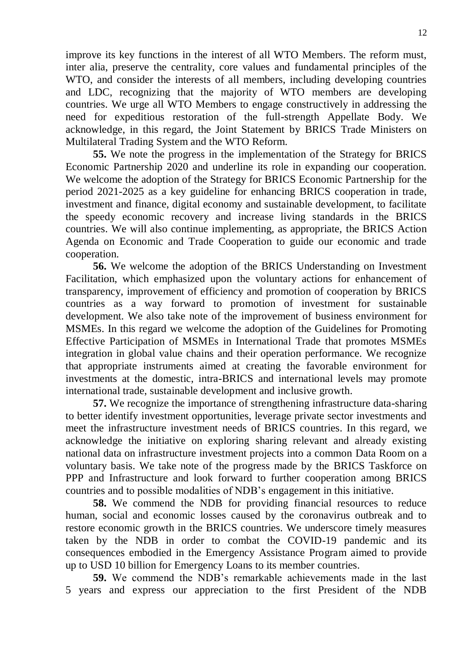improve its key functions in the interest of all WTO Members. The reform must, inter alia, preserve the centrality, core values and fundamental principles of the WTO, and consider the interests of all members, including developing countries and LDC, recognizing that the majority of WTO members are developing countries. We urge all WTO Members to engage constructively in addressing the need for expeditious restoration of the full-strength Appellate Body. We acknowledge, in this regard, the Joint Statement by BRICS Trade Ministers on Multilateral Trading System and the WTO Reform.

**55.** We note the progress in the implementation of the Strategy for BRICS Economic Partnership 2020 and underline its role in expanding our cooperation. We welcome the adoption of the Strategy for BRICS Economic Partnership for the period 2021-2025 as a key guideline for enhancing BRICS cooperation in trade, investment and finance, digital economy and sustainable development, to facilitate the speedy economic recovery and increase living standards in the BRICS countries. We will also continue implementing, as appropriate, the BRICS Action Agenda on Economic and Trade Cooperation to guide our economic and trade cooperation.

**56.** We welcome the adoption of the BRICS Understanding on Investment Facilitation, which emphasized upon the voluntary actions for enhancement of transparency, improvement of efficiency and promotion of cooperation by BRICS countries as a way forward to promotion of investment for sustainable development. We also take note of the improvement of business environment for MSMEs. In this regard we welcome the adoption of the Guidelines for Promoting Effective Participation of MSMEs in International Trade that promotes MSMEs integration in global value chains and their operation performance. We recognize that appropriate instruments aimed at creating the favorable environment for investments at the domestic, intra-BRICS and international levels may promote international trade, sustainable development and inclusive growth.

**57.** We recognize the importance of strengthening infrastructure data-sharing to better identify investment opportunities, leverage private sector investments and meet the infrastructure investment needs of BRICS countries. In this regard, we acknowledge the initiative on exploring sharing relevant and already existing national data on infrastructure investment projects into a common Data Room on a voluntary basis. We take note of the progress made by the BRICS Taskforce on PPP and Infrastructure and look forward to further cooperation among BRICS countries and to possible modalities of NDB's engagement in this initiative.

**58.** We commend the NDB for providing financial resources to reduce human, social and economic losses caused by the coronavirus outbreak and to restore economic growth in the BRICS countries. We underscore timely measures taken by the NDB in order to combat the COVID-19 pandemic and its consequences embodied in the Emergency Assistance Program aimed to provide up to USD 10 billion for Emergency Loans to its member countries.

**59.** We commend the NDB's remarkable achievements made in the last 5 years and express our appreciation to the first President of the NDB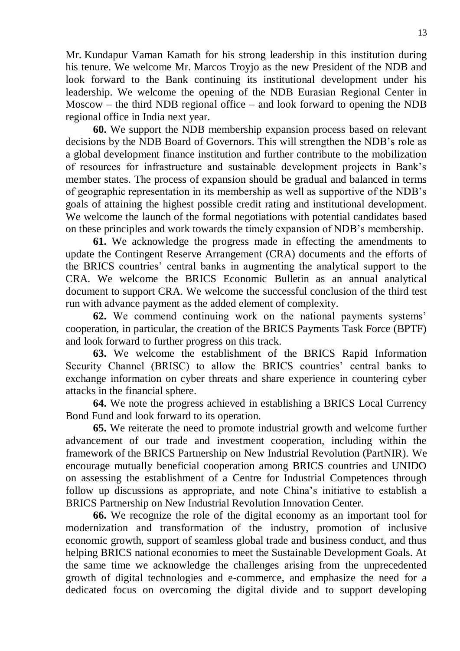Mr. Kundapur Vaman Kamath for his strong leadership in this institution during his tenure. We welcome Mr. Marcos Troyjo as the new President of the NDB and look forward to the Bank continuing its institutional development under his leadership. We welcome the opening of the NDB Eurasian Regional Center in Moscow – the third NDB regional office – and look forward to opening the NDB regional office in India next year.

**60.** We support the NDB membership expansion process based on relevant decisions by the NDB Board of Governors. This will strengthen the NDB's role as a global development finance institution and further contribute to the mobilization of resources for infrastructure and sustainable development projects in Bank's member states. The process of expansion should be gradual and balanced in terms of geographic representation in its membership as well as supportive of the NDB's goals of attaining the highest possible credit rating and institutional development. We welcome the launch of the formal negotiations with potential candidates based on these principles and work towards the timely expansion of NDB's membership.

**61.** We acknowledge the progress made in effecting the amendments to update the Contingent Reserve Arrangement (CRA) documents and the efforts of the BRICS countries' central banks in augmenting the analytical support to the CRA. We welcome the BRICS Economic Bulletin as an annual analytical document to support CRA. We welcome the successful conclusion of the third test run with advance payment as the added element of complexity.

**62.** We commend continuing work on the national payments systems' cooperation, in particular, the creation of the BRICS Payments Task Force (BPTF) and look forward to further progress on this track.

**63.** We welcome the establishment of the BRICS Rapid Information Security Channel (BRISC) to allow the BRICS countries' central banks to exchange information on cyber threats and share experience in countering cyber attacks in the financial sphere.

**64.** We note the progress achieved in establishing a BRICS Local Currency Bond Fund and look forward to its operation.

**65.** We reiterate the need to promote industrial growth and welcome further advancement of our trade and investment cooperation, including within the framework of the BRICS Partnership on New Industrial Revolution (PartNIR). We encourage mutually beneficial cooperation among BRICS countries and UNIDO on assessing the establishment of a Centre for Industrial Competences through follow up discussions as appropriate, and note China's initiative to establish a BRICS Partnership on New Industrial Revolution Innovation Center.

**66.** We recognize the role of the digital economy as an important tool for modernization and transformation of the industry, promotion of inclusive economic growth, support of seamless global trade and business conduct, and thus helping BRICS national economies to meet the Sustainable Development Goals. At the same time we acknowledge the challenges arising from the unprecedented growth of digital technologies and e-commerce, and emphasize the need for a dedicated focus on overcoming the digital divide and to support developing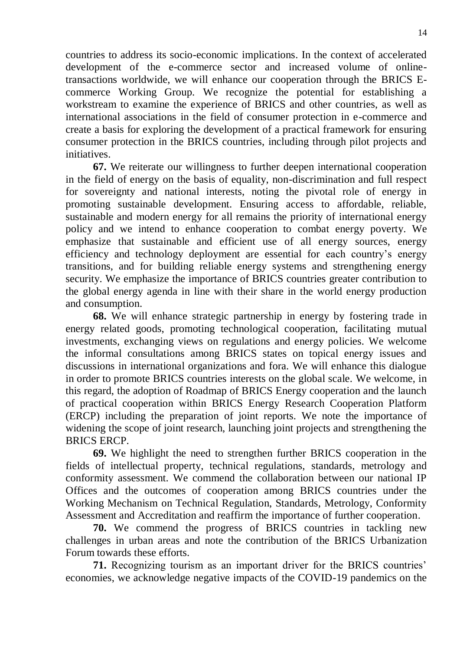countries to address its socio-economic implications. In the context of accelerated development of the e-commerce sector and increased volume of onlinetransactions worldwide, we will enhance our cooperation through the BRICS Ecommerce Working Group. We recognize the potential for establishing a workstream to examine the experience of BRICS and other countries, as well as international associations in the field of consumer protection in e-commerce and create a basis for exploring the development of a practical framework for ensuring consumer protection in the BRICS countries, including through pilot projects and initiatives.

**67.** We reiterate our willingness to further deepen international cooperation in the field of energy on the basis of equality, non-discrimination and full respect for sovereignty and national interests, noting the pivotal role of energy in promoting sustainable development. Ensuring access to affordable, reliable, sustainable and modern energy for all remains the priority of international energy policy and we intend to enhance cooperation to combat energy poverty. We emphasize that sustainable and efficient use of all energy sources, energy efficiency and technology deployment are essential for each country's energy transitions, and for building reliable energy systems and strengthening energy security. We emphasize the importance of BRICS countries greater contribution to the global energy agenda in line with their share in the world energy production and consumption.

**68.** We will enhance strategic partnership in energy by fostering trade in energy related goods, promoting technological cooperation, facilitating mutual investments, exchanging views on regulations and energy policies. We welcome the informal consultations among BRICS states on topical energy issues and discussions in international organizations and fora. We will enhance this dialogue in order to promote BRICS countries interests on the global scale. We welcome, in this regard, the adoption of Roadmap of BRICS Energy cooperation and the launch of practical cooperation within BRICS Energy Research Cooperation Platform (ERCP) including the preparation of joint reports. We note the importance of widening the scope of joint research, launching joint projects and strengthening the BRICS ERCP.

**69.** We highlight the need to strengthen further BRICS cooperation in the fields of intellectual property, technical regulations, standards, metrology and conformity assessment. We commend the collaboration between our national IP Offices and the outcomes of cooperation among BRICS countries under the Working Mechanism on Technical Regulation, Standards, Metrology, Conformity Assessment and Accreditation and reaffirm the importance of further cooperation.

**70.** We commend the progress of BRICS countries in tackling new challenges in urban areas and note the contribution of the BRICS Urbanization Forum towards these efforts.

**71.** Recognizing tourism as an important driver for the BRICS countries' economies, we acknowledge negative impacts of the COVID-19 pandemics on the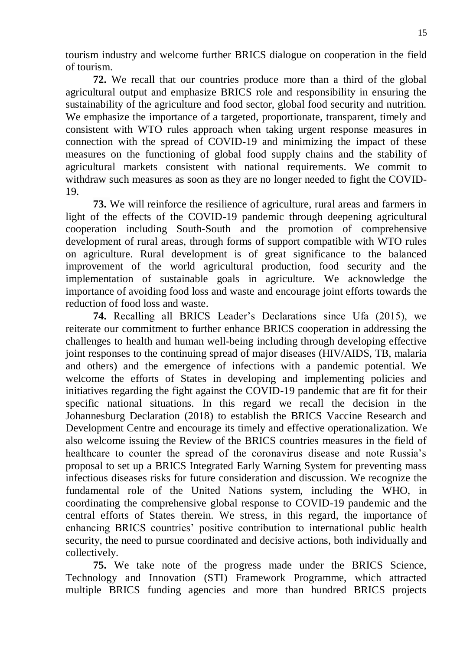tourism industry and welcome further BRICS dialogue on cooperation in the field of tourism.

**72.** We recall that our countries produce more than a third of the global agricultural output and emphasize BRICS role and responsibility in ensuring the sustainability of the agriculture and food sector, global food security and nutrition. We emphasize the importance of a targeted, proportionate, transparent, timely and consistent with WTO rules approach when taking urgent response measures in connection with the spread of COVID-19 and minimizing the impact of these measures on the functioning of global food supply chains and the stability of agricultural markets consistent with national requirements. We commit to withdraw such measures as soon as they are no longer needed to fight the COVID-19.

**73.** We will reinforce the resilience of agriculture, rural areas and farmers in light of the effects of the COVID-19 pandemic through deepening agricultural cooperation including South-South and the promotion of comprehensive development of rural areas, through forms of support compatible with WTO rules on agriculture. Rural development is of great significance to the balanced improvement of the world agricultural production, food security and the implementation of sustainable goals in agriculture. We acknowledge the importance of avoiding food loss and waste and encourage joint efforts towards the reduction of food loss and waste.

**74.** Recalling all BRICS Leader's Declarations since Ufa (2015), we reiterate our commitment to further enhance BRICS cooperation in addressing the challenges to health and human well-being including through developing effective joint responses to the continuing spread of major diseases (HIV/AIDS, TB, malaria and others) and the emergence of infections with a pandemic potential. We welcome the efforts of States in developing and implementing policies and initiatives regarding the fight against the COVID-19 pandemic that are fit for their specific national situations. In this regard we recall the decision in the Johannesburg Declaration (2018) to establish the BRICS Vaccine Research and Development Centre and encourage its timely and effective operationalization. We also welcome issuing the Review of the BRICS countries measures in the field of healthcare to counter the spread of the coronavirus disease and note Russia's proposal to set up a BRICS Integrated Early Warning System for preventing mass infectious diseases risks for future consideration and discussion. We recognize the fundamental role of the United Nations system, including the WHO, in coordinating the comprehensive global response to COVID-19 pandemic and the central efforts of States therein. We stress, in this regard, the importance of enhancing BRICS countries' positive contribution to international public health security, the need to pursue coordinated and decisive actions, both individually and collectively.

**75.** We take note of the progress made under the BRICS Science, Technology and Innovation (STI) Framework Programme, which attracted multiple BRICS funding agencies and more than hundred BRICS projects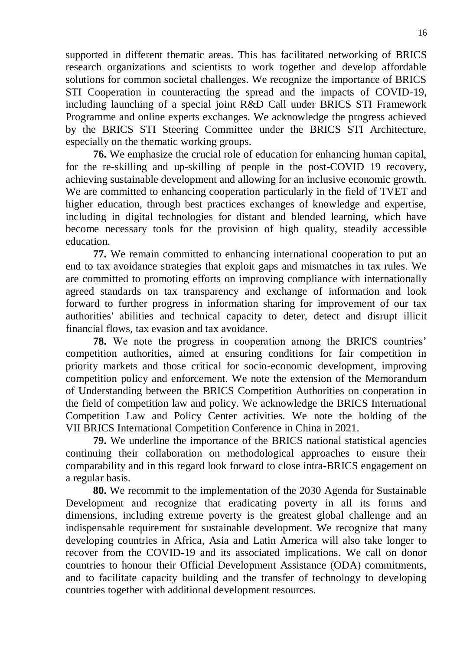supported in different thematic areas. This has facilitated networking of BRICS research organizations and scientists to work together and develop affordable solutions for common societal challenges. We recognize the importance of BRICS STI Cooperation in counteracting the spread and the impacts of COVID-19, including launching of a special joint R&D Call under BRICS STI Framework Programme and online experts exchanges. We acknowledge the progress achieved by the BRICS STI Steering Committee under the BRICS STI Architecture, especially on the thematic working groups.

**76.** We emphasize the crucial role of education for enhancing human capital, for the re-skilling and up-skilling of people in the post-COVID 19 recovery, achieving sustainable development and allowing for an inclusive economic growth. We are committed to enhancing cooperation particularly in the field of TVET and higher education, through best practices exchanges of knowledge and expertise, including in digital technologies for distant and blended learning, which have become necessary tools for the provision of high quality, steadily accessible education.

**77.** We remain committed to enhancing international cooperation to put an end to tax avoidance strategies that exploit gaps and mismatches in tax rules. We are committed to promoting efforts on improving compliance with internationally agreed standards on tax transparency and exchange of information and look forward to further progress in information sharing for improvement of our tax authorities' abilities and technical capacity to deter, detect and disrupt illicit financial flows, tax evasion and tax avoidance.

**78.** We note the progress in cooperation among the BRICS countries' competition authorities, aimed at ensuring conditions for fair competition in priority markets and those critical for socio-economic development, improving competition policy and enforcement. We note the extension of the Memorandum of Understanding between the BRICS Competition Authorities on cooperation in the field of competition law and policy. We acknowledge the BRICS International Competition Law and Policy Center activities. We note the holding of the VII BRICS International Competition Conference in China in 2021.

**79.** We underline the importance of the BRICS national statistical agencies continuing their collaboration on methodological approaches to ensure their comparability and in this regard look forward to close intra-BRICS engagement on a regular basis.

**80.** We recommit to the implementation of the 2030 Agenda for Sustainable Development and recognize that eradicating poverty in all its forms and dimensions, including extreme poverty is the greatest global challenge and an indispensable requirement for sustainable development. We recognize that many developing countries in Africa, Asia and Latin America will also take longer to recover from the COVID-19 and its associated implications. We call on donor countries to honour their Official Development Assistance (ODA) commitments, and to facilitate capacity building and the transfer of technology to developing countries together with additional development resources.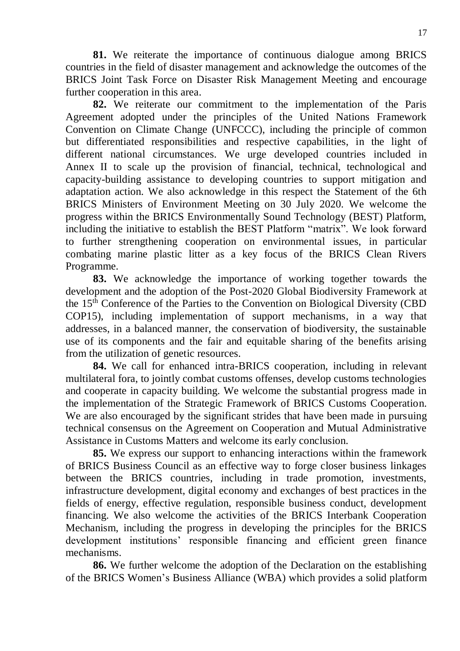**81.** We reiterate the importance of continuous dialogue among BRICS countries in the field of disaster management and acknowledge the outcomes of the BRICS Joint Task Force on Disaster Risk Management Meeting and encourage further cooperation in this area.

**82.** We reiterate our commitment to the implementation of the Paris Agreement adopted under the principles of the United Nations Framework Convention on Climate Change (UNFCCC), including the principle of common but differentiated responsibilities and respective capabilities, in the light of different national circumstances. We urge developed countries included in Annex II to scale up the provision of financial, technical, technological and capacity-building assistance to developing countries to support mitigation and adaptation action. We also acknowledge in this respect the Statement of the 6th BRICS Ministers of Environment Meeting on 30 July 2020. We welcome the progress within the BRICS Environmentally Sound Technology (BEST) Platform, including the initiative to establish the BEST Platform "matrix". We look forward to further strengthening cooperation on environmental issues, in particular combating marine plastic litter as a key focus of the BRICS Clean Rivers Programme.

**83.** We acknowledge the importance of working together towards the development and the adoption of the Post-2020 Global Biodiversity Framework at the 15th Conference of the Parties to the Convention on Biological Diversity (CBD COP15), including implementation of support mechanisms, in a way that addresses, in a balanced manner, the conservation of biodiversity, the sustainable use of its components and the fair and equitable sharing of the benefits arising from the utilization of genetic resources.

**84.** We call for enhanced intra-BRICS cooperation, including in relevant multilateral fora, to jointly combat customs offenses, develop customs technologies and cooperate in capacity building. We welcome the substantial progress made in the implementation of the Strategic Framework of BRICS Customs Cooperation. We are also encouraged by the significant strides that have been made in pursuing technical consensus on the Agreement on Cooperation and Mutual Administrative Assistance in Customs Matters and welcome its early conclusion.

**85.** We express our support to enhancing interactions within the framework of BRICS Business Council as an effective way to forge closer business linkages between the BRICS countries, including in trade promotion, investments, infrastructure development, digital economy and exchanges of best practices in the fields of energy, effective regulation, responsible business conduct, development financing. We also welcome the activities of the BRICS Interbank Cooperation Mechanism, including the progress in developing the principles for the BRICS development institutions' responsible financing and efficient green finance mechanisms.

**86.** We further welcome the adoption of the Declaration on the establishing of the BRICS Women's Business Alliance (WBA) which provides a solid platform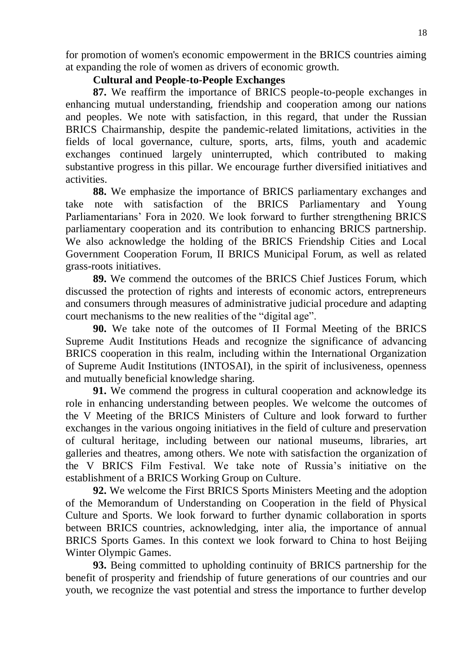for promotion of women's economic empowerment in the BRICS countries aiming at expanding the role of women as drivers of economic growth.

## **Cultural and People-to-People Exchanges**

**87.** We reaffirm the importance of BRICS people-to-people exchanges in enhancing mutual understanding, friendship and cooperation among our nations and peoples. We note with satisfaction, in this regard, that under the Russian BRICS Chairmanship, despite the pandemic-related limitations, activities in the fields of local governance, culture, sports, arts, films, youth and academic exchanges continued largely uninterrupted, which contributed to making substantive progress in this pillar. We encourage further diversified initiatives and activities.

**88.** We emphasize the importance of BRICS parliamentary exchanges and take note with satisfaction of the BRICS Parliamentary and Young Parliamentarians' Fora in 2020. We look forward to further strengthening BRICS parliamentary cooperation and its contribution to enhancing BRICS partnership. We also acknowledge the holding of the BRICS Friendship Cities and Local Government Cooperation Forum, II BRICS Municipal Forum, as well as related grass-roots initiatives.

**89.** We commend the outcomes of the BRICS Chief Justices Forum, which discussed the protection of rights and interests of economic actors, entrepreneurs and consumers through measures of administrative judicial procedure and adapting court mechanisms to the new realities of the "digital age".

**90.** We take note of the outcomes of II Formal Meeting of the BRICS Supreme Audit Institutions Heads and recognize the significance of advancing BRICS cooperation in this realm, including within the International Organization of Supreme Audit Institutions (INTOSAI), in the spirit of inclusiveness, openness and mutually beneficial knowledge sharing.

**91.** We commend the progress in cultural cooperation and acknowledge its role in enhancing understanding between peoples. We welcome the outcomes of the V Meeting of the BRICS Ministers of Culture and look forward to further exchanges in the various ongoing initiatives in the field of culture and preservation of cultural heritage, including between our national museums, libraries, art galleries and theatres, among others. We note with satisfaction the organization of the V BRICS Film Festival. We take note of Russia's initiative on the establishment of a BRICS Working Group on Culture.

**92.** We welcome the First BRICS Sports Ministers Meeting and the adoption of the Memorandum of Understanding on Cooperation in the field of Physical Culture and Sports. We look forward to further dynamic collaboration in sports between BRICS countries, acknowledging, inter alia, the importance of annual BRICS Sports Games. In this context we look forward to China to host Beijing Winter Olympic Games.

**93.** Being committed to upholding continuity of BRICS partnership for the benefit of prosperity and friendship of future generations of our countries and our youth, we recognize the vast potential and stress the importance to further develop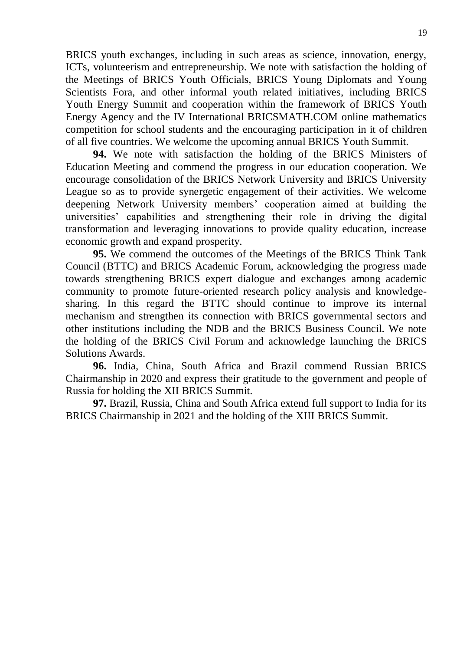BRICS youth exchanges, including in such areas as science, innovation, energy, ICTs, volunteerism and entrepreneurship. We note with satisfaction the holding of the Meetings of BRICS Youth Officials, BRICS Young Diplomats and Young Scientists Fora, and other informal youth related initiatives, including BRICS Youth Energy Summit and cooperation within the framework of BRICS Youth Energy Agency and the IV International BRICSMATH.COM online mathematics competition for school students and the encouraging participation in it of children of all five countries. We welcome the upcoming annual BRICS Youth Summit.

**94.** We note with satisfaction the holding of the BRICS Ministers of Education Meeting and commend the progress in our education cooperation. We encourage consolidation of the BRICS Network University and BRICS University League so as to provide synergetic engagement of their activities. We welcome deepening Network University members' cooperation aimed at building the universities' capabilities and strengthening their role in driving the digital transformation and leveraging innovations to provide quality education, increase economic growth and expand prosperity.

**95.** We commend the outcomes of the Meetings of the BRICS Think Tank Council (BTTC) and BRICS Academic Forum, acknowledging the progress made towards strengthening BRICS expert dialogue and exchanges among academic community to promote future-oriented research policy analysis and knowledgesharing. In this regard the BTTC should continue to improve its internal mechanism and strengthen its connection with BRICS governmental sectors and other institutions including the NDB and the BRICS Business Council. We note the holding of the BRICS Civil Forum and acknowledge launching the BRICS Solutions Awards.

**96.** India, China, South Africa and Brazil commend Russian BRICS Chairmanship in 2020 and express their gratitude to the government and people of Russia for holding the XII BRICS Summit.

**97.** Brazil, Russia, China and South Africa extend full support to India for its BRICS Chairmanship in 2021 and the holding of the XIII BRICS Summit.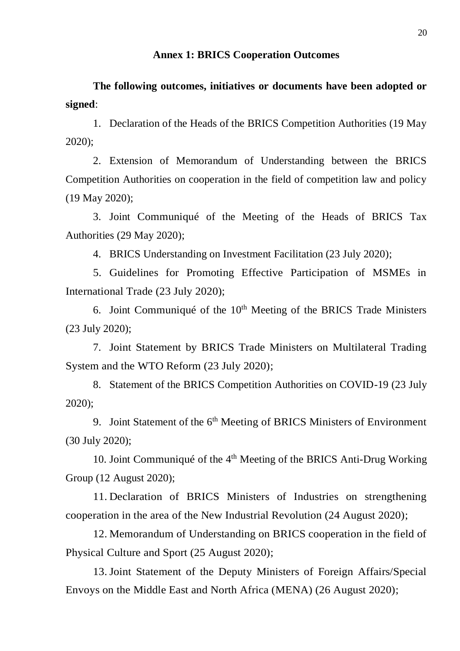#### **Annex 1: BRICS Cooperation Outcomes**

**The following outcomes, initiatives or documents have been adopted or signed**:

1. Declaration of the Heads of the BRICS Competition Authorities (19 May 2020);

2. Extension of Memorandum of Understanding between the BRICS Competition Authorities on cooperation in the field of competition law and policy (19 May 2020);

3. Joint Communiqué of the Meeting of the Heads of BRICS Tax Authorities (29 May 2020);

4. BRICS Understanding on Investment Facilitation (23 July 2020);

5. Guidelines for Promoting Effective Participation of MSMEs in International Trade (23 July 2020);

6. Joint Communiqué of the  $10<sup>th</sup>$  Meeting of the BRICS Trade Ministers (23 July 2020);

7. Joint Statement by BRICS Trade Ministers on Multilateral Trading System and the WTO Reform (23 July 2020);

8. Statement of the BRICS Competition Authorities on COVID-19 (23 July 2020);

9. Joint Statement of the 6<sup>th</sup> Meeting of BRICS Ministers of Environment (30 July 2020);

10. Joint Communiqué of the 4<sup>th</sup> Meeting of the BRICS Anti-Drug Working Group (12 August 2020);

11. Declaration of BRICS Ministers of Industries on strengthening cooperation in the area of the New Industrial Revolution (24 August 2020);

12. Memorandum of Understanding on BRICS cooperation in the field of Physical Culture and Sport (25 August 2020);

13. Joint Statement of the Deputy Ministers of Foreign Affairs/Special Envoys on the Middle East and North Africa (MENA) (26 August 2020);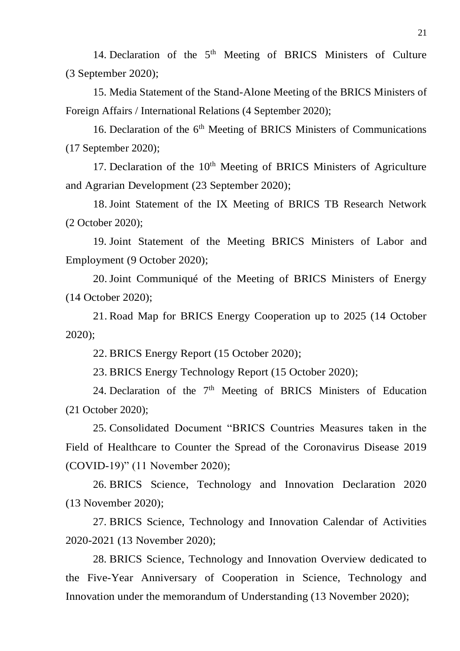14. Declaration of the  $5<sup>th</sup>$  Meeting of BRICS Ministers of Culture (3 September 2020);

15. Media Statement of the Stand-Alone Meeting of the BRICS Ministers of Foreign Affairs / International Relations (4 September 2020);

16. Declaration of the 6<sup>th</sup> Meeting of BRICS Ministers of Communications (17 September 2020);

17. Declaration of the  $10<sup>th</sup>$  Meeting of BRICS Ministers of Agriculture and Agrarian Development (23 September 2020);

18. Joint Statement of the IX Meeting of BRICS TB Research Network (2 October 2020);

19. Joint Statement of the Meeting BRICS Ministers of Labor and Employment (9 October 2020);

20. Joint Communiqué of the Meeting of BRICS Ministers of Energy (14 October 2020);

21. Road Map for BRICS Energy Cooperation up to 2025 (14 October 2020);

22. BRICS Energy Report (15 October 2020);

23. BRICS Energy Technology Report (15 October 2020);

24. Declaration of the  $7<sup>th</sup>$  Meeting of BRICS Ministers of Education (21 October 2020);

25. Consolidated Document "BRICS Countries Measures taken in the Field of Healthcare to Counter the Spread of the Coronavirus Disease 2019 (COVID-19)" (11 November 2020);

26. BRICS Science, Technology and Innovation Declaration 2020 (13 November 2020);

27. BRICS Science, Technology and Innovation Calendar of Activities 2020-2021 (13 November 2020);

28. BRICS Science, Technology and Innovation Overview dedicated to the Five-Year Anniversary of Cooperation in Science, Technology and Innovation under the memorandum of Understanding (13 November 2020);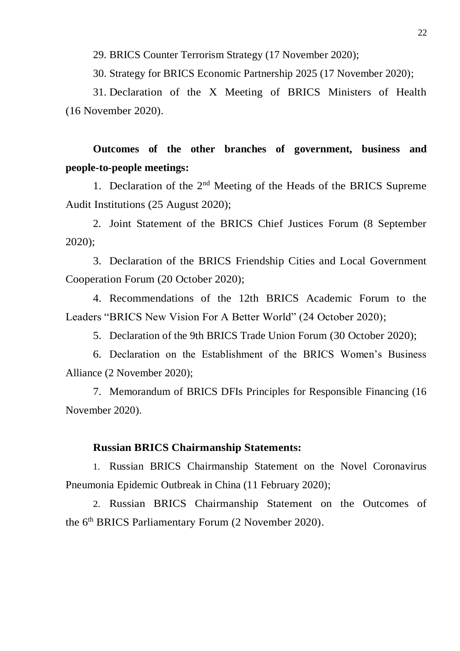29. BRICS Counter Terrorism Strategy (17 November 2020);

30. Strategy for BRICS Economic Partnership 2025 (17 November 2020);

31. Declaration of the X Meeting of BRICS Ministers of Health (16 November 2020).

**Outcomes of the other branches of government, business and people-to-people meetings:**

1. Declaration of the  $2<sup>nd</sup>$  Meeting of the Heads of the BRICS Supreme Audit Institutions (25 August 2020);

2. Joint Statement of the BRICS Chief Justices Forum (8 September 2020);

3. Declaration of the BRICS Friendship Cities and Local Government Cooperation Forum (20 October 2020);

4. Recommendations of the 12th BRICS Academic Forum to the Leaders "BRICS New Vision For A Better World" (24 October 2020);

5. Declaration of the 9th BRICS Trade Union Forum (30 October 2020);

6. Declaration on the Establishment of the BRICS Women's Business Alliance (2 November 2020);

7. Memorandum of BRICS DFIs Principles for Responsible Financing (16 November 2020).

#### **Russian BRICS Chairmanship Statements:**

1. Russian BRICS Chairmanship Statement on the Novel Coronavirus Pneumonia Epidemic Outbreak in China (11 February 2020);

2. Russian BRICS Chairmanship Statement on the Outcomes of the 6<sup>th</sup> BRICS Parliamentary Forum (2 November 2020).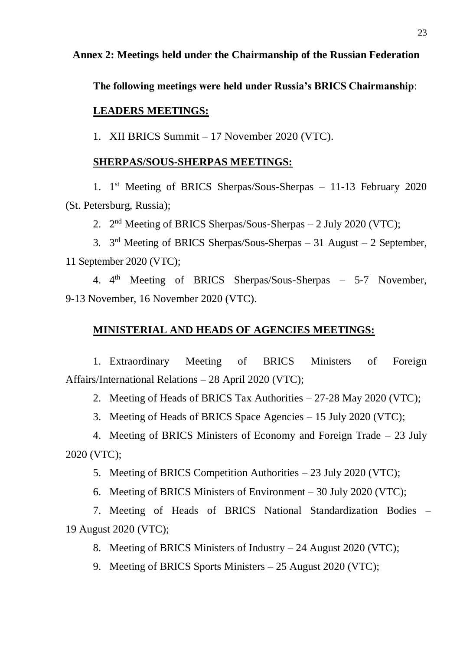## **Annex 2: Meetings held under the Chairmanship of the Russian Federation**

**The following meetings were held under Russia's BRICS Chairmanship**:

#### **LEADERS MEETINGS:**

1. XII BRICS Summit – 17 November 2020 (VTC).

#### **SHERPAS/SOUS-SHERPAS MEETINGS:**

1. 1 st Meeting of BRICS Sherpas/Sous-Sherpas – 11-13 February 2020 (St. Petersburg, Russia);

2. 2<sup>nd</sup> Meeting of BRICS Sherpas/Sous-Sherpas – 2 July 2020 (VTC);

3.  $3<sup>rd</sup> Meeting of BRICS Sherpas/Sous-Sherpas - 31 August - 2 September,$ 11 September 2020 (VTC);

4. 4<sup>th</sup> Meeting of BRICS Sherpas/Sous-Sherpas – 5-7 November, 9-13 November, 16 November 2020 (VTC).

#### **MINISTERIAL AND HEADS OF AGENCIES MEETINGS:**

1. Extraordinary Meeting of BRICS Ministers of Foreign Affairs/International Relations – 28 April 2020 (VTC);

2. Meeting of Heads of BRICS Tax Authorities – 27-28 May 2020 (VTC);

3. Meeting of Heads of BRICS Space Agencies – 15 July 2020 (VTC);

4. Meeting of BRICS Ministers of Economy and Foreign Trade – 23 July 2020 (VTC);

5. Meeting of BRICS Competition Authorities – 23 July 2020 (VTC);

6. Meeting of BRICS Ministers of Environment – 30 July 2020 (VTC);

7. Meeting of Heads of BRICS National Standardization Bodies – 19 August 2020 (VTC);

8. Meeting of BRICS Ministers of Industry – 24 August 2020 (VTC);

9. Meeting of BRICS Sports Ministers – 25 August 2020 (VTC);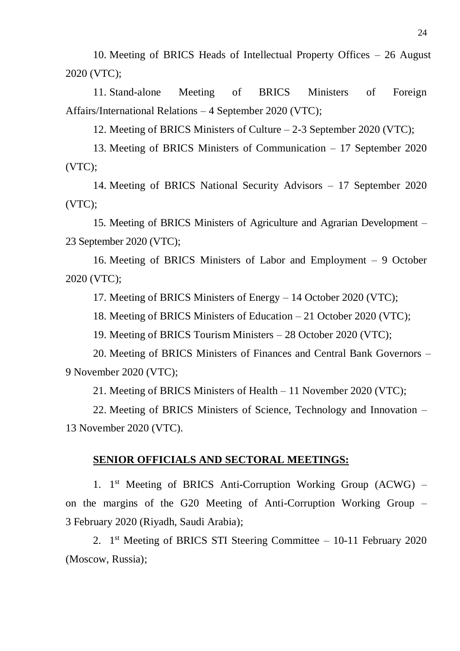10. Meeting of BRICS Heads of Intellectual Property Offices – 26 August 2020 (VTC);

11. Stand-alone Meeting of BRICS Ministers of Foreign Affairs/International Relations – 4 September 2020 (VTC);

12. Meeting of BRICS Ministers of Culture – 2-3 September 2020 (VTC);

13. Meeting of BRICS Ministers of Communication – 17 September 2020 (VTC);

14. Meeting of BRICS National Security Advisors – 17 September 2020 (VTC);

15. Meeting of BRICS Ministers of Agriculture and Agrarian Development – 23 September 2020 (VTC);

16. Meeting of BRICS Ministers of Labor and Employment – 9 October 2020 (VTC);

17. Meeting of BRICS Ministers of Energy – 14 October 2020 (VTC);

18. Meeting of BRICS Ministers of Education – 21 October 2020 (VTC);

19. Meeting of BRICS Tourism Ministers – 28 October 2020 (VTC);

20. Meeting of BRICS Ministers of Finances and Central Bank Governors – 9 November 2020 (VTC);

21. Meeting of BRICS Ministers of Health – 11 November 2020 (VTC);

22. Meeting of BRICS Ministers of Science, Technology and Innovation – 13 November 2020 (VTC).

## **SENIOR OFFICIALS AND SECTORAL MEETINGS:**

1. 1<sup>st</sup> Meeting of BRICS Anti-Corruption Working Group (ACWG) on the margins of the G20 Meeting of Anti-Corruption Working Group – 3 February 2020 (Riyadh, Saudi Arabia);

2. 1 st Meeting of BRICS STI Steering Committee – 10-11 February 2020 (Moscow, Russia);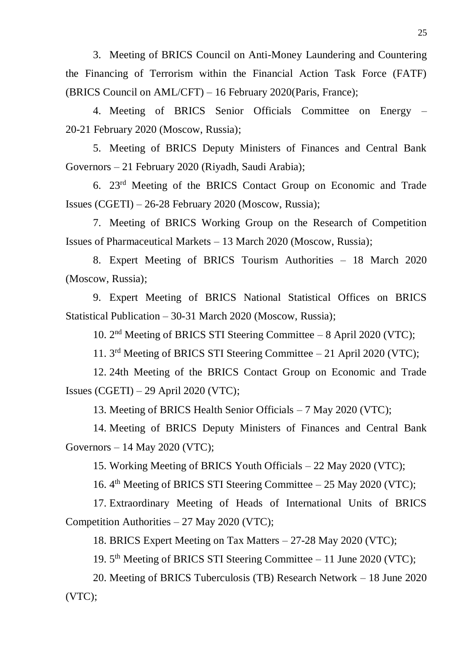3. Meeting of BRICS Council on Anti-Money Laundering and Countering the Financing of Terrorism within the Financial Action Task Force (FATF) (BRICS Council on AML/CFT) – 16 February 2020(Paris, France);

4. Meeting of BRICS Senior Officials Committee on Energy – 20-21 February 2020 (Moscow, Russia);

5. Meeting of BRICS Deputy Ministers of Finances and Central Bank Governors – 21 February 2020 (Riyadh, Saudi Arabia);

6. 23rd Meeting of the BRICS Contact Group on Economic and Trade Issues (CGETI) – 26-28 February 2020 (Moscow, Russia);

7. Meeting of BRICS Working Group on the Research of Competition Issues of Pharmaceutical Markets – 13 March 2020 (Moscow, Russia);

8. Expert Meeting of BRICS Tourism Authorities – 18 March 2020 (Moscow, Russia);

9. Expert Meeting of BRICS National Statistical Offices on BRICS Statistical Publication – 30-31 March 2020 (Moscow, Russia);

10. 2<sup>nd</sup> Meeting of BRICS STI Steering Committee - 8 April 2020 (VTC);

11. 3 rd Meeting of BRICS STI Steering Committee – 21 April 2020 (VTC);

12. 24th Meeting of the BRICS Contact Group on Economic and Trade Issues (CGETI) – 29 April 2020 (VTC);

13. Meeting of BRICS Health Senior Officials – 7 May 2020 (VTC);

14. Meeting of BRICS Deputy Ministers of Finances and Central Bank Governors – 14 May 2020 (VTC);

15. Working Meeting of BRICS Youth Officials – 22 May 2020 (VTC);

16. 4<sup>th</sup> Meeting of BRICS STI Steering Committee – 25 May 2020 (VTC);

17. Extraordinary Meeting of Heads of International Units of BRICS Competition Authorities – 27 May 2020 (VTC);

18. BRICS Expert Meeting on Tax Matters – 27-28 May 2020 (VTC);

19. 5<sup>th</sup> Meeting of BRICS STI Steering Committee - 11 June 2020 (VTC);

20. Meeting of BRICS Tuberculosis (TB) Research Network – 18 June 2020 (VTC);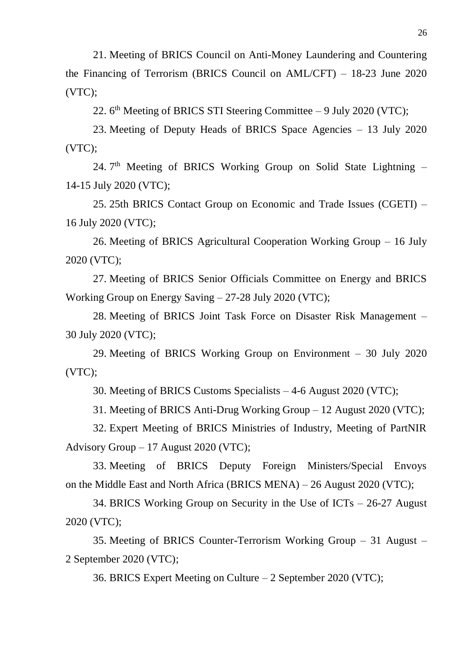21. Meeting of BRICS Council on Anti-Money Laundering and Countering the Financing of Terrorism (BRICS Council on AML/CFT) – 18-23 June 2020 (VTC);

22. 6<sup>th</sup> Meeting of BRICS STI Steering Committee – 9 July 2020 (VTC);

23. Meeting of Deputy Heads of BRICS Space Agencies – 13 July 2020 (VTC);

24. 7<sup>th</sup> Meeting of BRICS Working Group on Solid State Lightning -14-15 July 2020 (VTC);

25. 25th BRICS Contact Group on Economic and Trade Issues (CGETI) – 16 July 2020 (VTC);

26. Meeting of BRICS Agricultural Cooperation Working Group – 16 July 2020 (VTC);

27. Meeting of BRICS Senior Officials Committee on Energy and BRICS Working Group on Energy Saving – 27-28 July 2020 (VTC);

28. Meeting of BRICS Joint Task Force on Disaster Risk Management – 30 July 2020 (VTC);

29. Meeting of BRICS Working Group on Environment – 30 July 2020 (VTC);

30. Meeting of BRICS Customs Specialists – 4-6 August 2020 (VTC);

31. Meeting of BRICS Anti-Drug Working Group – 12 August 2020 (VTC);

32. Expert Meeting of BRICS Ministries of Industry, Meeting of PartNIR Advisory Group – 17 August 2020 (VTC);

33. Meeting of BRICS Deputy Foreign Ministers/Special Envoys on the Middle East and North Africa (BRICS MENA) – 26 August 2020 (VTC);

34. BRICS Working Group on Security in the Use of ICTs – 26-27 August 2020 (VTC);

35. Meeting of BRICS Counter-Terrorism Working Group – 31 August – 2 September 2020 (VTC);

36. BRICS Expert Meeting on Culture – 2 September 2020 (VTC);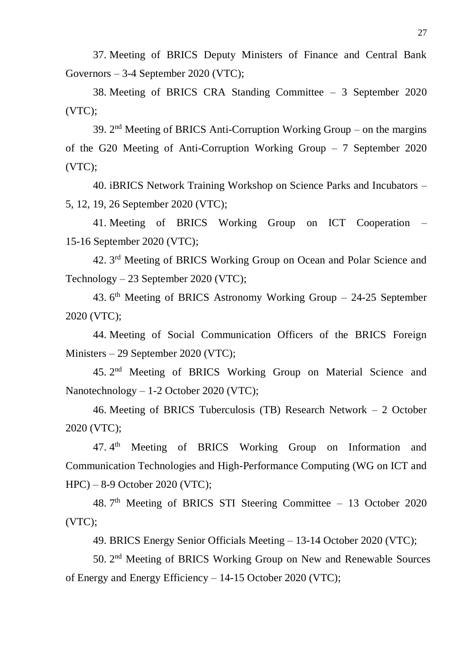37. Meeting of BRICS Deputy Ministers of Finance and Central Bank Governors – 3-4 September 2020 (VTC);

38. Meeting of BRICS CRA Standing Committee – 3 September 2020 (VTC);

39.  $2<sup>nd</sup>$  Meeting of BRICS Anti-Corruption Working Group – on the margins of the G20 Meeting of Anti-Corruption Working Group – 7 September 2020 (VTC);

40. iBRICS Network Training Workshop on Science Parks and Incubators – 5, 12, 19, 26 September 2020 (VTC);

41. Meeting of BRICS Working Group on ICT Cooperation – 15-16 September 2020 (VTC);

42. 3<sup>rd</sup> Meeting of BRICS Working Group on Ocean and Polar Science and Technology – 23 September 2020 (VTC);

43.  $6<sup>th</sup>$  Meeting of BRICS Astronomy Working Group – 24-25 September 2020 (VTC);

44. Meeting of Social Communication Officers of the BRICS Foreign Ministers – 29 September 2020 (VTC);

45. 2<sup>nd</sup> Meeting of BRICS Working Group on Material Science and Nanotechnology – 1-2 October 2020 (VTC);

46. Meeting of BRICS Tuberculosis (TB) Research Network – 2 October 2020 (VTC);

47.4<sup>th</sup> Meeting of BRICS Working Group on Information and Communication Technologies and High-Performance Computing (WG on ICT and HPC) – 8-9 October 2020 (VTC);

48. 7<sup>th</sup> Meeting of BRICS STI Steering Committee – 13 October 2020 (VTC);

49. BRICS Energy Senior Officials Meeting – 13-14 October 2020 (VTC);

50. 2<sup>nd</sup> Meeting of BRICS Working Group on New and Renewable Sources of Energy and Energy Efficiency – 14-15 October 2020 (VTC);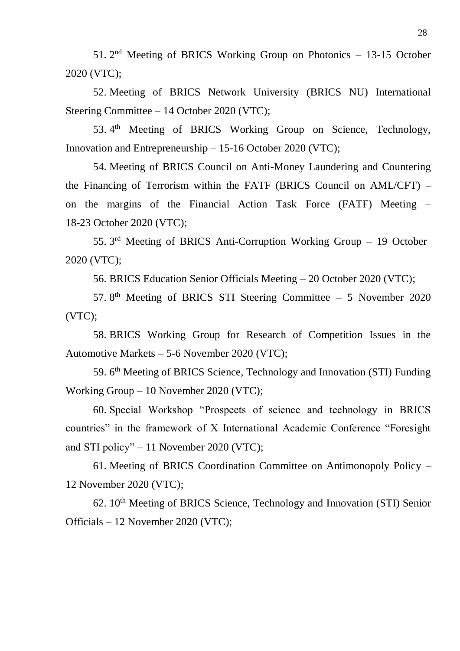51.  $2<sup>nd</sup>$  Meeting of BRICS Working Group on Photonics  $-13-15$  October 2020 (VTC);

52. Meeting of BRICS Network University (BRICS NU) International Steering Committee – 14 October 2020 (VTC);

53. 4<sup>th</sup> Meeting of BRICS Working Group on Science, Technology, Innovation and Entrepreneurship – 15-16 October 2020 (VTC);

54. Meeting of BRICS Council on Anti-Money Laundering and Countering the Financing of Terrorism within the FATF (BRICS Council on AML/CFT) – on the margins of the Financial Action Task Force (FATF) Meeting – 18-23 October 2020 (VTC);

55. 3<sup>rd</sup> Meeting of BRICS Anti-Corruption Working Group - 19 October 2020 (VTC);

56. BRICS Education Senior Officials Meeting – 20 October 2020 (VTC);

57.  $8<sup>th</sup>$  Meeting of BRICS STI Steering Committee – 5 November 2020 (VTC);

58. BRICS Working Group for Research of Competition Issues in the Automotive Markets – 5-6 November 2020 (VTC);

59. 6<sup>th</sup> Meeting of BRICS Science, Technology and Innovation (STI) Funding Working Group – 10 November 2020 (VTC);

60. Special Workshop "Prospects of science and technology in BRICS countries" in the framework of X International Academic Conference "Foresight and STI policy" – 11 November 2020 (VTC);

61. Meeting of BRICS Coordination Committee on Antimonopoly Policy – 12 November 2020 (VTC);

62.  $10^{th}$  Meeting of BRICS Science, Technology and Innovation (STI) Senior Officials – 12 November 2020 (VTC);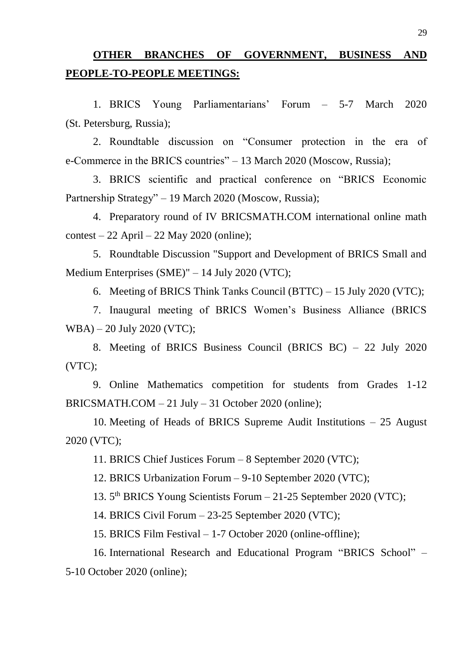# **OTHER BRANCHES OF GOVERNMENT, BUSINESS AND PEOPLE-TO-PEOPLE MEETINGS:**

1. BRICS Young Parliamentarians' Forum – 5-7 March 2020 (St. Petersburg, Russia);

2. Roundtable discussion on "Consumer protection in the era of e-Commerce in the BRICS countries" – 13 March 2020 (Moscow, Russia);

3. BRICS scientific and practical conference on "BRICS Economic Partnership Strategy" – 19 March 2020 (Moscow, Russia);

4. Preparatory round of IV BRICSMATH.COM international online math  $\text{context} - 22 \text{ April} - 22 \text{ May } 2020 \text{ (online)}$ ;

5. Roundtable Discussion "Support and Development of BRICS Small and Medium Enterprises (SME)" – 14 July 2020 (VTC);

6. Meeting of BRICS Think Tanks Council (BTTC) – 15 July 2020 (VTC);

7. Inaugural meeting of BRICS Women's Business Alliance (BRICS WBA) – 20 July 2020 (VTC);

8. Meeting of BRICS Business Council (BRICS BC) – 22 July 2020 (VTC);

9. Online Mathematics competition for students from Grades 1-12 BRICSMATH.COM  $-21$  July  $-31$  October 2020 (online);

10. Meeting of Heads of BRICS Supreme Audit Institutions – 25 August 2020 (VTC);

11. BRICS Chief Justices Forum – 8 September 2020 (VTC);

12. BRICS Urbanization Forum – 9-10 September 2020 (VTC);

13. 5<sup>th</sup> BRICS Young Scientists Forum - 21-25 September 2020 (VTC);

14. BRICS Civil Forum – 23-25 September 2020 (VTC);

15. BRICS Film Festival – 1-7 October 2020 (online-offline);

16. International Research and Educational Program "BRICS School" – 5-10 October 2020 (online);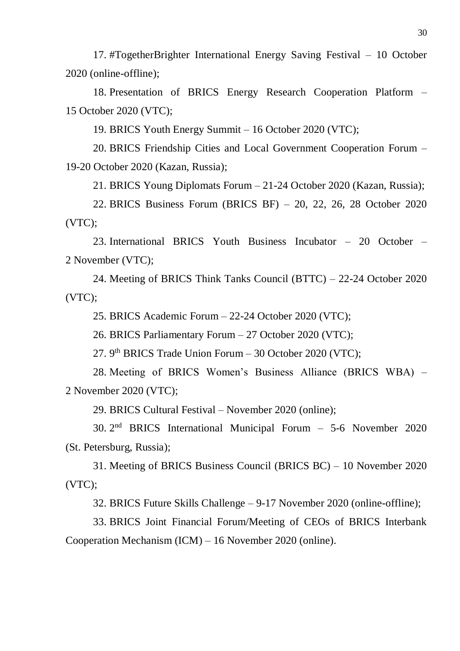17. #TogetherBrighter International Energy Saving Festival – 10 October 2020 (online-offline);

18. Presentation of BRICS Energy Research Cooperation Platform – 15 October 2020 (VTC);

19. BRICS Youth Energy Summit – 16 October 2020 (VTC);

20. BRICS Friendship Cities and Local Government Cooperation Forum – 19-20 October 2020 (Kazan, Russia);

21. BRICS Young Diplomats Forum – 21-24 October 2020 (Kazan, Russia);

22. BRICS Business Forum (BRICS BF) – 20, 22, 26, 28 October 2020 (VTC);

23. International BRICS Youth Business Incubator – 20 October – 2 November (VTC);

24. Meeting of BRICS Think Tanks Council (BTTC) – 22-24 October 2020 (VTC);

25. BRICS Academic Forum – 22-24 October 2020 (VTC);

26. BRICS Parliamentary Forum – 27 October 2020 (VTC);

27. 9<sup>th</sup> BRICS Trade Union Forum - 30 October 2020 (VTC);

28. Meeting of BRICS Women's Business Alliance (BRICS WBA) – 2 November 2020 (VTC);

29. BRICS Cultural Festival – November 2020 (online);

30. 2 nd BRICS International Municipal Forum – 5-6 November 2020 (St. Petersburg, Russia);

31. Meeting of BRICS Business Council (BRICS BC) – 10 November 2020 (VTC);

32. BRICS Future Skills Challenge – 9-17 November 2020 (online-offline);

33. BRICS Joint Financial Forum/Meeting of CEOs of BRICS Interbank Cooperation Mechanism (ICM) – 16 November 2020 (online).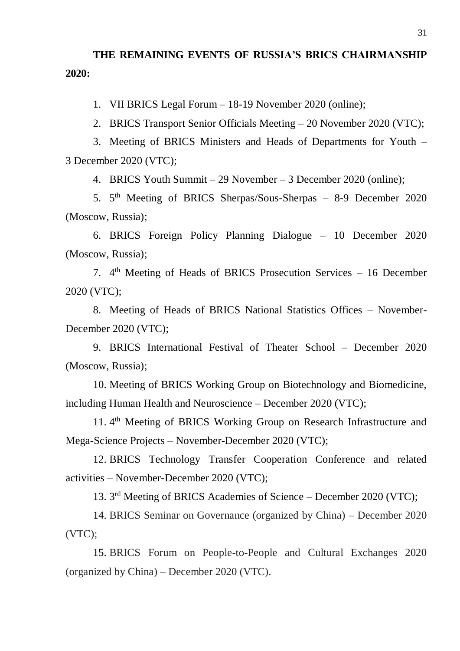# **THE REMAINING EVENTS OF RUSSIA'S BRICS CHAIRMANSHIP 2020:**

1. VII BRICS Legal Forum – 18-19 November 2020 (online);

2. BRICS Transport Senior Officials Meeting – 20 November 2020 (VTC);

3. Meeting of BRICS Ministers and Heads of Departments for Youth – 3 December 2020 (VTC);

4. BRICS Youth Summit – 29 November – 3 December 2020 (online);

5. 5<sup>th</sup> Meeting of BRICS Sherpas/Sous-Sherpas – 8-9 December 2020 (Moscow, Russia);

6. BRICS Foreign Policy Planning Dialogue – 10 December 2020 (Moscow, Russia);

7. 4<sup>th</sup> Meeting of Heads of BRICS Prosecution Services – 16 December 2020 (VTC);

8. Meeting of Heads of BRICS National Statistics Offices – November-December 2020 (VTC);

9. BRICS International Festival of Theater School – December 2020 (Moscow, Russia);

10. Meeting of BRICS Working Group on Biotechnology and Biomedicine, including Human Health and Neuroscience – December 2020 (VTC);

11. 4<sup>th</sup> Meeting of BRICS Working Group on Research Infrastructure and Mega-Science Projects – November-December 2020 (VTC);

12. BRICS Technology Transfer Cooperation Conference and related activities – November-December 2020 (VTC);

13. 3 rd Meeting of BRICS Academies of Science – December 2020 (VTC);

14. BRICS Seminar on Governance (organized by China) – December 2020 (VTC);

15. BRICS Forum on People-to-People and Cultural Exchanges 2020 (organized by China) – December 2020 (VTC).